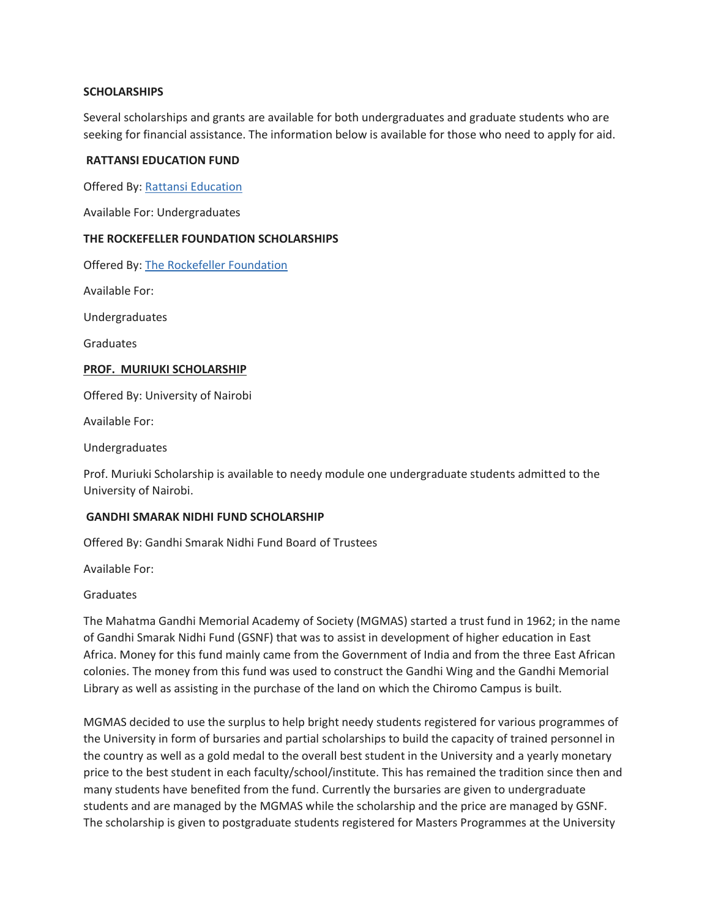### **SCHOLARSHIPS**

Several scholarships and grants are available for both undergraduates and graduate students who are seeking for financial assistance. The information below is available for those who need to apply for aid.

#### **RATTANSI EDUCATION FUND**

Offered By: [Rattansi Education](http://www.rattansieducationaltrust.or.ke/)

Available For: Undergraduates

#### **THE ROCKEFELLER FOUNDATION SCHOLARSHIPS**

Offered By: [The Rockefeller Foundation](https://www.rockefellerfoundation.org/)

Available For:

Undergraduates

Graduates

#### **[PROF. MURIUKI SCHOLARSHIP](https://a.uonbi.ac.ke/node/139)**

Offered By: University of Nairobi

Available For:

Undergraduates

Prof. Muriuki Scholarship is available to needy module one undergraduate students admitted to the University of Nairobi.

### **[GANDHI SMARAK NIDHI FUND SCHOLARSHIP](https://gandhi.uonbi.ac.ke/home.php)**

Offered By: Gandhi Smarak Nidhi Fund Board of Trustees

Available For:

Graduates

The Mahatma Gandhi Memorial Academy of Society (MGMAS) started a trust fund in 1962; in the name of Gandhi Smarak Nidhi Fund (GSNF) that was to assist in development of higher education in East Africa. Money for this fund mainly came from the Government of India and from the three East African colonies. The money from this fund was used to construct the Gandhi Wing and the Gandhi Memorial Library as well as assisting in the purchase of the land on which the Chiromo Campus is built.

MGMAS decided to use the surplus to help bright needy students registered for various programmes of the University in form of bursaries and partial scholarships to build the capacity of trained personnel in the country as well as a gold medal to the overall best student in the University and a yearly monetary price to the best student in each faculty/school/institute. This has remained the tradition since then and many students have benefited from the fund. Currently the bursaries are given to undergraduate students and are managed by the MGMAS while the scholarship and the price are managed by GSNF. The scholarship is given to postgraduate students registered for Masters Programmes at the University